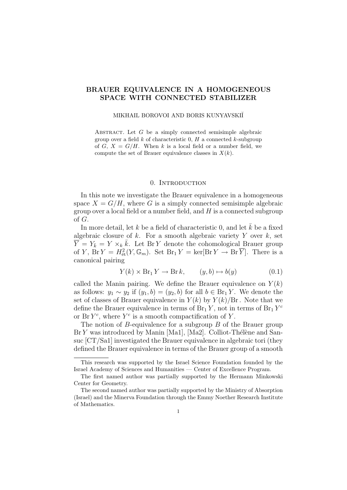# BRAUER EQUIVALENCE IN A HOMOGENEOUS SPACE WITH CONNECTED STABILIZER

#### MIKHAIL BOROVOI AND BORIS KUNYAVSKIİ̃

ABSTRACT. Let  $G$  be a simply connected semisimple algebraic group over a field  $k$  of characteristic 0,  $H$  a connected  $k$ -subgroup of G,  $X = G/H$ . When k is a local field or a number field, we compute the set of Brauer equivalence classes in  $X(k)$ .

# 0. Introduction

In this note we investigate the Brauer equivalence in a homogeneous space  $X = G/H$ , where G is a simply connected semisimple algebraic group over a local field or a number field, and  $H$  is a connected subgroup of G.

In more detail, let k be a field of characteristic 0, and let  $\overline{k}$  be a fixed algebraic closure of  $k$ . For a smooth algebraic variety  $Y$  over  $k$ , set  $\overline{Y} = Y_{\overline{k}} = Y \times_k \overline{k}$ . Let Br Y denote the cohomological Brauer group of Y,  $\operatorname{Br} Y = H^2_{\text{\'et}}(Y, \mathbb{G}_m)$ . Set  $\operatorname{Br}_1 Y = \ker[\operatorname{Br} Y \to \operatorname{Br} \overline{Y}]$ . There is a canonical pairing

$$
Y(k) \times \text{Br}_1 Y \to \text{Br } k, \qquad (y, b) \mapsto b(y) \tag{0.1}
$$

called the Manin pairing. We define the Brauer equivalence on  $Y(k)$ as follows:  $y_1 \sim y_2$  if  $(y_1, b) = (y_2, b)$  for all  $b \in \text{Br}_1 Y$ . We denote the set of classes of Brauer equivalence in  $Y(k)$  by  $Y(k)/Br$ . Note that we define the Brauer equivalence in terms of  $Br_1 Y$ , not in terms of  $Br_1 Y^c$ or Br  $Y^c$ , where  $Y^c$  is a smooth compactification of Y.

The notion of  $B$ -equivalence for a subgroup  $B$  of the Brauer group  $Br Y$  was introduced by Manin [Ma1], [Ma2]. Colliot-Thélène and Sansuc [CT/Sa1] investigated the Brauer equivalence in algebraic tori (they defined the Brauer equivalence in terms of the Brauer group of a smooth

This research was supported by the Israel Science Foundation founded by the Israel Academy of Sciences and Humanities — Center of Excellence Program.

The first named author was partially supported by the Hermann Minkowski Center for Geometry.

The second named author was partially supported by the Ministry of Absorption (Israel) and the Minerva Foundation through the Emmy Noether Research Institute of Mathematics.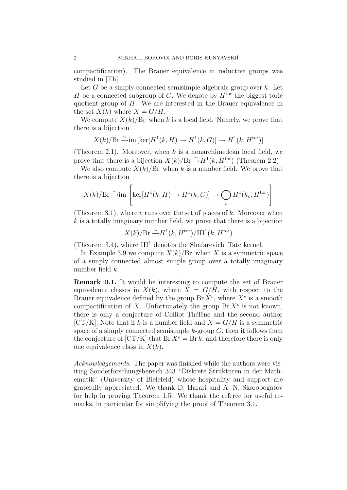compactification). The Brauer equivalence in reductive groups was studied in [Th].

Let  $G$  be a simply connected semisimple algebraic group over  $k$ . Let H be a connected subgroup of G. We denote by  $H<sup>tor</sup>$  the biggest toric quotient group of H. We are interested in the Brauer equivalence in the set  $X(k)$  where  $X = G/H$ .

We compute  $X(k)/Br$  when k is a local field. Namely, we prove that there is a bijection

$$
X(k)/{\rm Br}\xrightarrow{\sim}\!{\rm im}\,[{\rm ker}[H^1(k,H)\rightarrow H^1(k,G)]\rightarrow H^1(k,H^{\rm tor})]
$$

(Theorem 2.1). Moreover, when  $k$  is a nonarchimedean local field, we prove that there is a bijection  $X(k)/Br \stackrel{\sim}{\rightarrow} H^1(k, H^{\text{tor}})$  (Theorem 2.2).

We also compute  $X(k)/Br$  when k is a number field. We prove that there is a bijection

$$
X(k)/\text{Br} \xrightarrow{\sim} \text{im}\left[\ker[H^1(k, H) \to H^1(k, G)] \to \bigoplus_v H^1(k_v, H^{\text{tor}})\right]
$$

(Theorem 3.1), where v runs over the set of places of  $k$ . Moreover when  $k$  is a totally imaginary number field, we prove that there is a bijection

$$
X(k)/\mathrm{Br} \xrightarrow{\sim} H^1(k, H^{\text{tor}})/\mathrm{III}^1(k, H^{\text{tor}})
$$

(Theorem 3.4), where  $III<sup>1</sup>$  denotes the Shafarevich–Tate kernel.

In Example 3.9 we compute  $X(k)/Br$  when X is a symmetric space of a simply connected almost simple group over a totally imaginary number field k.

Remark 0.1. It would be interesting to compute the set of Brauer equivalence classes in  $X(k)$ , where  $X = G/H$ , with respect to the Brauer equivalence defined by the group  $\text{Br } X^c$ , where  $X^c$  is a smooth compactification of X. Unfortunately the group  $\mathop{\text{Br}} X^c$  is not known, there is only a conjecture of Colliot-Thélène and the second author [CT/K]. Note that if k is a number field and  $X = G/H$  is a symmetric space of a simply connected semisimple  $k$ -group  $G$ , then it follows from the conjecture of  $[CT/K]$  that  $Br X<sup>c</sup> = Br k$ , and therefore there is only one equivalence class in  $X(k)$ .

Acknowledgements. The paper was finished while the authors were visiting Sonderforschungsbereich 343 "Diskrete Strukturen in der Mathematik" (University of Bielefeld) whose hospitality and support are gratefully appreciated. We thank D. Harari and A. N. Skorobogatov for help in proving Theorem 1.5. We thank the referee for useful remarks, in particular for simplifying the proof of Theorem 3.1.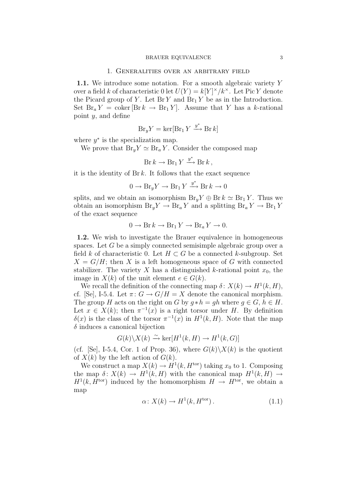#### 1. Generalities over an arbitrary field

1.1. We introduce some notation. For a smooth algebraic variety Y over a field k of characteristic 0 let  $U(Y) = k[Y]^{\times}/k^{\times}$ . Let Pic Y denote the Picard group of Y. Let  $\text{Br } Y$  and  $\text{Br }_1 Y$  be as in the Introduction. Set  $\text{Br}_a Y = \text{coker} [\text{Br } k \to \text{Br}_1 Y]$ . Assume that Y has a k-rational point y, and define

$$
Br_y Y = \ker[Br_1 Y \xrightarrow{y^*} Br k]
$$

where  $y^*$  is the specialization map.

We prove that  $Br_y Y \simeq Br_a Y$ . Consider the composed map

$$
Br k \to Br_1 Y \xrightarrow{y^*} Br k ,
$$

it is the identity of  $Br k$ . It follows that the exact sequence

$$
0 \to \text{Br}_y Y \to \text{Br}_1 Y \xrightarrow{y^*} \text{Br } k \to 0
$$

splits, and we obtain an isomorphism  $\text{Br}_y Y \oplus \text{Br}_k \simeq \text{Br}_1 Y$ . Thus we obtain an isomorphism  $\text{Br}_y Y \to \text{Br}_a Y$  and a splitting  $\text{Br}_a Y \to \text{Br}_1 Y$ of the exact sequence

$$
0 \to \text{Br} k \to \text{Br}_1 Y \to \text{Br}_a Y \to 0.
$$

1.2. We wish to investigate the Brauer equivalence in homogeneous spaces. Let G be a simply connected semisimple algebraic group over a field k of characteristic 0. Let  $H \subset G$  be a connected k-subgroup. Set  $X = G/H$ ; then X is a left homogeneous space of G with connected stabilizer. The variety X has a distinguished k-rational point  $x_0$ , the image in  $X(k)$  of the unit element  $e \in G(k)$ .

We recall the definition of the connecting map  $\delta: X(k) \to H^1(k, H)$ , cf. [Se], I-5.4. Let  $\pi: G \to G/H = X$  denote the canonical morphism. The group H acts on the right on G by  $q * h = qh$  where  $q \in G$ ,  $h \in H$ . Let  $x \in X(k)$ ; then  $\pi^{-1}(x)$  is a right torsor under H. By definition  $\delta(x)$  is the class of the torsor  $\pi^{-1}(x)$  in  $H^1(k, H)$ . Note that the map  $\delta$  induces a canonical bijection

$$
G(k)\backslash X(k) \xrightarrow{\sim} \ker[H^1(k, H) \to H^1(k, G)]
$$

(cf. [Se], I-5.4, Cor. 1 of Prop. 36), where  $G(k)\ X(k)$  is the quotient of  $X(k)$  by the left action of  $G(k)$ .

We construct a map  $X(k) \to H^1(k, H^{\text{tor}})$  taking  $x_0$  to 1. Composing the map  $\delta: X(k) \to H^1(k, H)$  with the canonical map  $H^1(k, H) \to$  $H^1(k, H^{\text{tor}})$  induced by the homomorphism  $H \to H^{\text{tor}}$ , we obtain a map

$$
\alpha \colon X(k) \to H^1(k, H^{\text{tor}}). \tag{1.1}
$$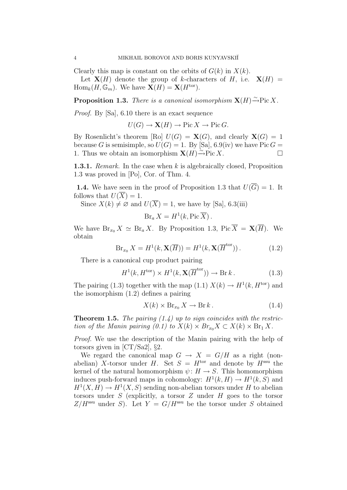Clearly this map is constant on the orbits of  $G(k)$  in  $X(k)$ . Let  $X(H)$  denote the group of k-characters of H, i.e.  $X(H) =$  $\text{Hom}_k(H, \mathbb{G}_m)$ . We have  $\mathbf{X}(H) = \mathbf{X}(H^{\text{tor}})$ .

**Proposition 1.3.** There is a canonical isomorphism  $\mathbf{X}(H) \xrightarrow{\sim} \text{Pic } X$ .

Proof. By [Sa], 6.10 there is an exact sequence

 $U(G) \to \mathbf{X}(H) \to \text{Pic } X \to \text{Pic } G.$ 

By Rosenlicht's theorem [Ro]  $U(G) = \mathbf{X}(G)$ , and clearly  $\mathbf{X}(G) = 1$ because G is semisimple, so  $U(G) = 1$ . By [Sa], 6.9(iv) we have Pic  $G =$ 1. Thus we obtain an isomorphism  $\mathbf{X}(H) \stackrel{\sim}{\rightarrow}$ Pic X.

**1.3.1.** Remark. In the case when  $k$  is algebraically closed, Proposition 1.3 was proved in [Po], Cor. of Thm. 4.

**1.4.** We have seen in the proof of Proposition 1.3 that  $U(\overline{G}) = 1$ . It follows that  $U(\overline{X})=1$ .

Since  $X(k) \neq \emptyset$  and  $U(\overline{X}) = 1$ , we have by [Sa], 6.3(iii)

$$
Br_a X = H^1(k, Pic \overline{X}).
$$

We have  $\operatorname{Br}_{x_0} X \simeq \operatorname{Br}_a X$ . By Proposition 1.3, Pic  $\overline{X} = \mathbf{X}(\overline{H})$ . We obtain

$$
\operatorname{Br}_{x_0} X = H^1(k, \mathbf{X}(\overline{H})) = H^1(k, \mathbf{X}(\overline{H}^{\text{tor}})). \tag{1.2}
$$

There is a canonical cup product pairing

$$
H^1(k, H^{\text{tor}}) \times H^1(k, \mathbf{X}(\overline{H}^{\text{tor}})) \to \text{Br } k. \tag{1.3}
$$

The pairing (1.3) together with the map (1.1)  $X(k) \to H^1(k, H^{\text{tor}})$  and the isomorphism (1.2) defines a pairing

$$
X(k) \times \text{Br}_{x_0} X \to \text{Br } k. \tag{1.4}
$$

**Theorem 1.5.** The pairing  $(1.4)$  up to sign coincides with the restriction of the Manin pairing  $(0.1)$  to  $X(k) \times Br_{x_0}X \subset X(k) \times Br_1 X$ .

Proof. We use the description of the Manin pairing with the help of torsors given in  $[CT/Sa2]$ , §2.

We regard the canonical map  $G \rightarrow X = G/H$  as a right (nonabelian) X-torsor under H. Set  $S = H<sup>tor</sup>$  and denote by  $H<sup>ssu</sup>$  the kernel of the natural homomorphism  $\psi: H \to S$ . This homomorphism induces push-forward maps in cohomology:  $H^1(k, H) \to H^1(k, S)$  and  $H^1(X, H) \to H^1(X, S)$  sending non-abelian torsors under H to abelian torsors under  $S$  (explicitly, a torsor  $Z$  under  $H$  goes to the torsor  $Z/H<sup>ssu</sup>$  under S). Let  $Y = G/H<sup>ssu</sup>$  be the torsor under S obtained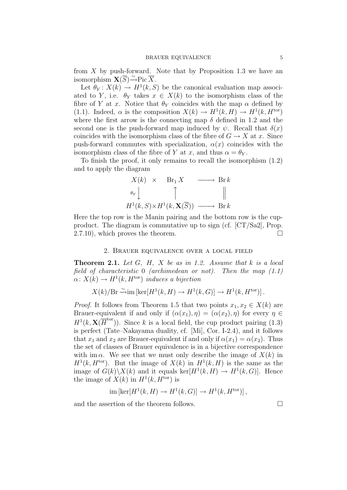from X by push-forward. Note that by Proposition 1.3 we have an isomorphism  $\mathbf{X}(\overline{S}) \xrightarrow{\sim} \text{Pic } \overline{X}$ .

Let  $\theta_Y: X(k) \to H^1(k, S)$  be the canonical evaluation map associated to Y, i.e.  $\theta_Y$  takes  $x \in X(k)$  to the isomorphism class of the fibre of Y at x. Notice that  $\theta_Y$  coincides with the map  $\alpha$  defined by (1.1). Indeed,  $\alpha$  is the composition  $X(k) \to H^1(k, H) \to H^1(k, H^{\text{tor}})$ where the first arrow is the connecting map  $\delta$  defined in 1.2 and the second one is the push-forward map induced by  $\psi$ . Recall that  $\delta(x)$ coincides with the isomorphism class of the fibre of  $G \to X$  at x. Since push-forward commutes with specialization,  $\alpha(x)$  coincides with the isomorphism class of the fibre of Y at x, and thus  $\alpha = \theta_Y$ .

To finish the proof, it only remains to recall the isomorphism (1.2) and to apply the diagram

$$
X(k) \times \text{Br}_1 X \longrightarrow \text{Br } k
$$
  
\n
$$
\theta_Y \downarrow \qquad \qquad \uparrow \qquad \qquad \parallel
$$
  
\n
$$
H^1(k, S) \times H^1(k, \mathbf{X}(\overline{S})) \longrightarrow \text{Br } k
$$

Here the top row is the Manin pairing and the bottom row is the cupproduct. The diagram is commutative up to sign (cf. [CT/Sa2], Prop.  $2.7.10$ , which proves the theorem.

# 2. Brauer equivalence over a local field

**Theorem 2.1.** Let  $G$ ,  $H$ ,  $X$  be as in 1.2. Assume that  $k$  is a local field of characteristic 0 (archimedean or not). Then the map  $(1.1)$  $\alpha \colon X(k) \to H^1(k, H^{\text{tor}})$  induces a bijection

$$
X(k)/\text{Br} \xrightarrow{\sim} \text{im} \left[ \text{ker}[H^1(k, H) \to H^1(k, G)] \to H^1(k, H^{\text{tor}}) \right].
$$

*Proof.* It follows from Theorem 1.5 that two points  $x_1, x_2 \in X(k)$  are Brauer-equivalent if and only if  $(\alpha(x_1), \eta) = (\alpha(x_2), \eta)$  for every  $\eta \in$  $H^1(k, \mathbf{X}(\overline{H}^{\text{tor}}))$ . Since k is a local field, the cup product pairing (1.3) is perfect (Tate–Nakayama duality, cf. [Mi], Cor. I-2.4), and it follows that  $x_1$  and  $x_2$  are Brauer-equivalent if and only if  $\alpha(x_1) = \alpha(x_2)$ . Thus the set of classes of Brauer equivalence is in a bijective correspondence with im  $\alpha$ . We see that we must only describe the image of  $X(k)$  in  $H<sup>1</sup>(k, H<sup>tor</sup>)$ . But the image of  $X(k)$  in  $H<sup>1</sup>(k, H)$  is the same as the image of  $G(k)\backslash X(k)$  and it equals  $\ker[H^1(k, H) \to H^1(k, G)]$ . Hence the image of  $X(k)$  in  $H<sup>1</sup>(k, H<sup>tor</sup>)$  is

$$
\operatorname{im} \left[ \ker \left[ H^1(k, H) \to H^1(k, G) \right] \to H^1(k, H^{\text{tor}}) \right],
$$

and the assertion of the theorem follows.  $\hfill \square$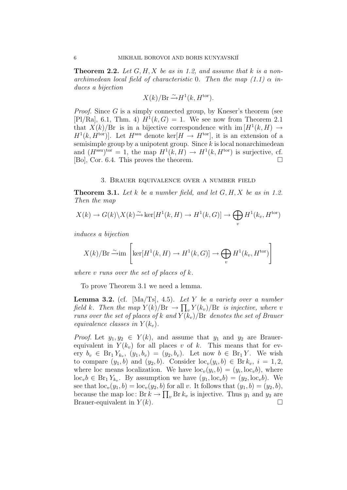**Theorem 2.2.** Let  $G, H, X$  be as in 1.2, and assume that k is a nonarchimedean local field of characteristic 0. Then the map  $(1.1)$   $\alpha$  induces a bijection

$$
X(k)/\mathrm{Br} \xrightarrow{\sim} H^1(k, H^{\text{tor}}).
$$

Proof. Since G is a simply connected group, by Kneser's theorem (see [Pl/Ra], 6.1, Thm. 4)  $H^1(k, G) = 1$ . We see now from Theorem 2.1 that  $X(k)/Br$  is in a bijective correspondence with  $\text{im }[H^1(k, H) \to$  $H^1(k, H^{\text{tor}})$ . Let  $H^{\text{ssu}}$  denote ker $[H \to H^{\text{tor}}]$ , it is an extension of a semisimple group by a unipotent group. Since  $k$  is local nonarchimedean and  $(H^{\text{ssu}})^{\text{tor}} = 1$ , the map  $H^1(k, H) \to H^1(k, H^{\text{tor}})$  is surjective, cf. [Bo], Cor. 6.4. This proves the theorem.

### 3. Brauer equivalence over a number field

**Theorem 3.1.** Let k be a number field, and let  $G, H, X$  be as in 1.2. Then the map

$$
X(k) \to G(k) \backslash X(k) \xrightarrow{\sim} \ker[H^1(k, H) \to H^1(k, G)] \to \bigoplus_v H^1(k_v, H^{\text{tor}})
$$

induces a bijection

$$
X(k)/\text{Br} \xrightarrow{\sim} \text{im}\left[\ker[H^1(k, H) \to H^1(k, G)] \to \bigoplus_v H^1(k_v, H^{\text{tor}})\right]
$$

where v runs over the set of places of  $k$ .

To prove Theorem 3.1 we need a lemma.

**Lemma 3.2.** (cf. [Ma/Ts], 4.5). Let Y be a variety over a number field k. Then the map  $Y(k)/Br \to \prod_v Y(k_v)/Br$  is injective, where v runs over the set of places of k and  $Y(k_v)/Br$  denotes the set of Brauer equivalence classes in  $Y(k_v)$ .

*Proof.* Let  $y_1, y_2 \in Y(k)$ , and assume that  $y_1$  and  $y_2$  are Brauerequivalent in  $Y(k_v)$  for all places v of k. This means that for every  $b_v$  ∈ Br<sub>1</sub>Y<sub>kv</sub>,  $(y_1, b_v) = (y_2, b_v)$ . Let now  $b ∈$  Br<sub>1</sub>Y. We wish to compare  $(y_1, b)$  and  $(y_2, b)$ . Consider  $\mathrm{loc}_v(y_i, b) \in \mathrm{Br} k_v$ ,  $i = 1, 2$ , where loc means localization. We have  $\text{loc}_{v}(y_i, b) = (y_i, \text{loc}_{v}b)$ , where  $\mathrm{loc}_v b \in \mathrm{Br}_1 Y_{k_v}$ . By assumption we have  $(y_1, \mathrm{loc}_v b) = (y_2, \mathrm{loc}_v b)$ . We see that  $\text{loc}_{v}(y_1, b) = \text{loc}_{v}(y_2, b)$  for all v. It follows that  $(y_1, b) = (y_2, b)$ , because the map loc:  $Br k \to \prod_v Br k_v$  is injective. Thus  $y_1$  and  $y_2$  are Brauer-equivalent in  $Y(k)$ .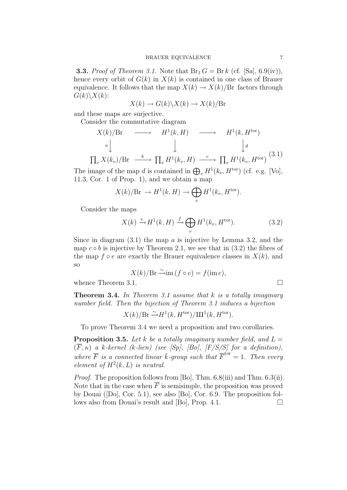**3.3.** Proof of Theorem 3.1. Note that  $Br_1 G = Br k$  (cf. [Sa], 6.9(iv)), hence every orbit of  $G(k)$  in  $X(k)$  is contained in one class of Brauer equivalence. It follows that the map  $X(k) \to X(k)/B_r$  factors through  $G(k)\backslash X(k)$ :

$$
X(k) \to G(k) \backslash X(k) \to X(k)/Br
$$

and these maps are surjective.

Consider the commutative diagram

$$
X(k)/\text{Br} \longrightarrow H^1(k, H) \longrightarrow H^1(k, H^{\text{tor}})
$$
  
\n
$$
a \downarrow \qquad \qquad \downarrow \qquad \qquad \downarrow d
$$
  
\n
$$
I_v X(k_v)/\text{Br} \longrightarrow \prod_v H^1(k_v, H) \xrightarrow{c} \prod_v H^1(k_v, H^{\text{tor}})
$$
 (3.1)

The image of the map d is contained in  $\bigoplus_{v} H^{1}(k_{v}, H^{\text{tor}})$  (cf. e.g. [Vo], 11.3, Cor. 1 of Prop. 1), and we obtain a map

$$
X(k)/\text{Br} \to H^1(k, H) \to \bigoplus_v H^1(k_v, H^{\text{tor}}).
$$

Consider the maps

 $\Gamma$ 

$$
X(k) \xrightarrow{e} H^1(k, H) \xrightarrow{f} \bigoplus_v H^1(k_v, H^{\text{tor}}). \tag{3.2}
$$

Since in diagram  $(3.1)$  the map a is injective by Lemma 3.2, and the map  $c \circ b$  is injective by Theorem 2.1, we see that in (3.2) the fibres of the map  $f \circ e$  are exactly the Brauer equivalence classes in  $X(k)$ , and so

$$
X(k)/\text{Br} \xrightarrow{\sim} \text{im} \,(f \circ e) = f(\text{im} \, e),
$$

whence Theorem 3.1.  $\Box$ 

**Theorem 3.4.** In Theorem 3.1 assume that  $k$  is a totally imaginary number field. Then the bijection of Theorem 3.1 induces a bijection

 $X(k)/Br \stackrel{\sim}{\rightarrow} H^1(k, H^{\text{tor}})/\text{III}^1(k, H^{\text{tor}}).$ 

To prove Theorem 3.4 we need a proposition and two corollaries.

**Proposition 3.5.** Let k be a totally imaginary number field, and  $L =$  $(\overline{F}, \kappa)$  a k-kernel (k-lien) (see [Sp], [Bo], [F/S/S] for a definition), where  $\overline{F}$  is a connected linear  $\overline{k}$ -group such that  $\overline{F}^{tor} = 1$ . Then every element of  $H^2(k, L)$  is neutral.

Proof. The proposition follows from [Bo], Thm. 6.8(iii) and Thm. 6.3(ii). Note that in the case when  $\overline{F}$  is semisimple, the proposition was proved by Douai ([Do], Cor. 5.1), see also [Bo], Cor. 6.9. The proposition follows also from Douai's result and [Bo], Prop. 4.1.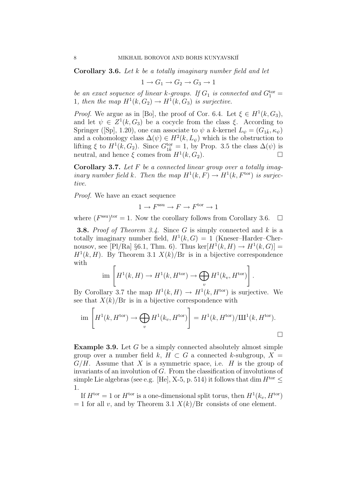Corollary 3.6. Let k be a totally imaginary number field and let

$$
1 \to G_1 \to G_2 \to G_3 \to 1
$$

be an exact sequence of linear k-groups. If  $G_1$  is connected and  $G_1^{\text{tor}} =$ 1, then the map  $H^1(k, G_2) \to H^1(k, G_3)$  is surjective.

*Proof.* We argue as in [Bo], the proof of Cor. 6.4. Let  $\xi \in H^1(k, G_3)$ , and let  $\psi \in Z^1(k, G_3)$  be a cocycle from the class  $\xi$ . According to Springer ([Sp], 1.20), one can associate to  $\psi$  a k-kernel  $L_{\psi} = (G_{1\bar{k}}, \kappa_{\psi})$ and a cohomology class  $\Delta(\psi) \in H^2(k, L_{\psi})$  which is the obstruction to lifting  $\xi$  to  $H^1(k, G_2)$ . Since  $G_{1\overline{k}}^{\text{tor}} = 1$ , by Prop. 3.5 the class  $\Delta(\psi)$  is neutral, and hence  $\xi$  comes from  $H^1(k, G_2)$ .

**Corollary 3.7.** Let  $F$  be a connected linear group over a totally imaginary number field k. Then the map  $H^1(k, F) \to H^1(k, F^{\text{tor}})$  is surjective.

Proof. We have an exact sequence

$$
1 \to F^{\text{ssu}} \to F \to F^{\text{tor}} \to 1
$$

where  $(F^{\text{ssu}})$ <sup>tor</sup> = 1. Now the corollary follows from Corollary 3.6.  $\Box$ 

**3.8.** Proof of Theorem 3.4. Since G is simply connected and  $k$  is a totally imaginary number field,  $H^1(k, G) = 1$  (Kneser–Harder–Chernousov, see [Pl/Ra] §6.1, Thm. 6). Thus  $\ker[H^1(k, H) \to H^1(k, G)] =$  $H<sup>1</sup>(k, H)$ . By Theorem 3.1  $X(k)/Br$  is in a bijective correspondence with

$$
\operatorname{im}\left[H^1(k,H)\to H^1(k,H^{\text{tor}})\to \bigoplus_v H^1(k_v,H^{\text{tor}})\right].
$$

By Corollary 3.7 the map  $H^1(k, H) \to H^1(k, H^{\text{tor}})$  is surjective. We see that  $X(k)/Br$  is in a bijective correspondence with

$$
\text{im}\left[H^1(k, H^{\text{tor}}) \to \bigoplus_v H^1(k_v, H^{\text{tor}})\right] = H^1(k, H^{\text{tor}})/\text{III}^1(k, H^{\text{tor}}).
$$

Example 3.9. Let G be a simply connected absolutely almost simple group over a number field k,  $H \subset G$  a connected k-subgroup,  $X =$  $G/H$ . Assume that X is a symmetric space, i.e. H is the group of invariants of an involution of G. From the classification of involutions of simple Lie algebras (see e.g. [He], X-5, p. 514) it follows that dim  $H^{\text{tor}}$  < 1.

If  $H^{\text{tor}} = 1$  or  $H^{\text{tor}}$  is a one-dimensional split torus, then  $H^1(k_v, H^{\text{tor}})$  $= 1$  for all v, and by Theorem 3.1  $X(k)/Br$  consists of one element.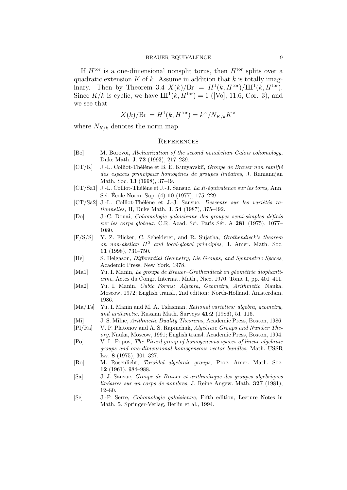If  $H<sup>tor</sup>$  is a one-dimensional nonsplit torus, then  $H<sup>tor</sup>$  splits over a quadratic extension  $K$  of  $k$ . Assume in addition that  $k$  is totally imaginary. Then by Theorem 3.4  $X(k)/Br = H<sup>1</sup>(k, H<sup>tor</sup>)/III<sup>1</sup>(k, H<sup>tor</sup>).$ Since  $K/k$  is cyclic, we have  $III^{1}(k, H^{\text{tor}}) = 1$  ([Vo], 11.6, Cor. 3), and we see that

$$
X(k)/\text{Br} = H^1(k, H^{\text{tor}}) = k^\times / N_{K/k} K^\times
$$

where  $N_{K/k}$  denotes the norm map.

#### **REFERENCES**

- [Bo] M. Borovoi, Abelianization of the second nonabelian Galois cohomology, Duke Math. J. 72 (1993), 217–239.
- $[CT/K]$  J.-L. Colliot-Thélène et B. È. Kunyavskiĭ, *Groupe de Brauer non ramifié* des espaces principaux homogènes de groupes linéaires, J. Ramanujan Math. Soc. 13 (1998), 37–49.
- [CT/Sa1] J.-L. Colliot-Thélène et J.-J. Sansuc, La R-équivalence sur les tores, Ann. Sci. École Norm. Sup.  $(4)$  10  $(1977)$ , 175–229.
- $[CT/Sa2]$  J.-L. Colliot-Thélène et J.-J. Sansuc, Descente sur les variétés rationnelles, II, Duke Math. J. 54 (1987), 375–492.
- [Do] J.-C. Douai, Cohomologie galoisienne des groupes semi-simples d´efinis sur les corps globaux, C.R. Acad. Sci. Paris Sér. A 281 (1975), 1077– 1080.
- [F/S/S] Y. Z. Flicker, C. Scheiderer, and R. Sujatha, Grothendieck's theorem on non-abelian  $H^2$  and local-global principles, J. Amer. Math. Soc. 11 (1998), 731–750.
- [He] S. Helgason, Differential Geometry, Lie Groups, and Symmetric Spaces, Academic Press, New York, 1978.
- [Ma1] Yu. I. Manin, Le groupe de Brauer–Grothendieck en géométrie diophantienne, Actes du Congr. Internat. Math., Nice, 1970, Tome 1, pp. 401–411.
- [Ma2] Yu. I. Manin, Cubic Forms: Algebra, Geometry, Arithmetic, Nauka, Moscow, 1972; English transl., 2nd edition: North-Holland, Amsterdam, 1986.
- [Ma/Ts] Yu. I. Manin and M. A. Tsfasman, Rational varieties: algebra, geometry, and arithmetic, Russian Math. Surveys  $41:2$  (1986), 51–116.
- [Mi] J. S. Milne, Arithmetic Duality Theorems, Academic Press, Boston, 1986. [Pl/Ra] V. P. Platonov and A. S. Rapinchuk, Algebraic Groups and Number The-
- ory, Nauka, Moscow, 1991; English transl. Academic Press, Boston, 1994. [Po] V. L. Popov, The Picard group of homogeneous spaces of linear algebraic
- groups and one-dimensional homogeneous vector bundles, Math. USSR Izv. 8 (1975), 301–327.
- [Ro] M. Rosenlicht, Toroidal algebraic groups, Proc. Amer. Math. Soc. 12 (1961), 984–988.
- [Sa] J.-J. Sansuc, Groupe de Brauer et arithm´etique des groupes alg´ebriques  $\text{linéaires sur un corps de nombres}, \text{ J. Reine Angew. Math. } 327 \text{ (1981)},$ 12–80.
- [Se] J.-P. Serre, Cohomologie galoisienne, Fifth edition, Lecture Notes in Math. 5, Springer-Verlag, Berlin et al., 1994.